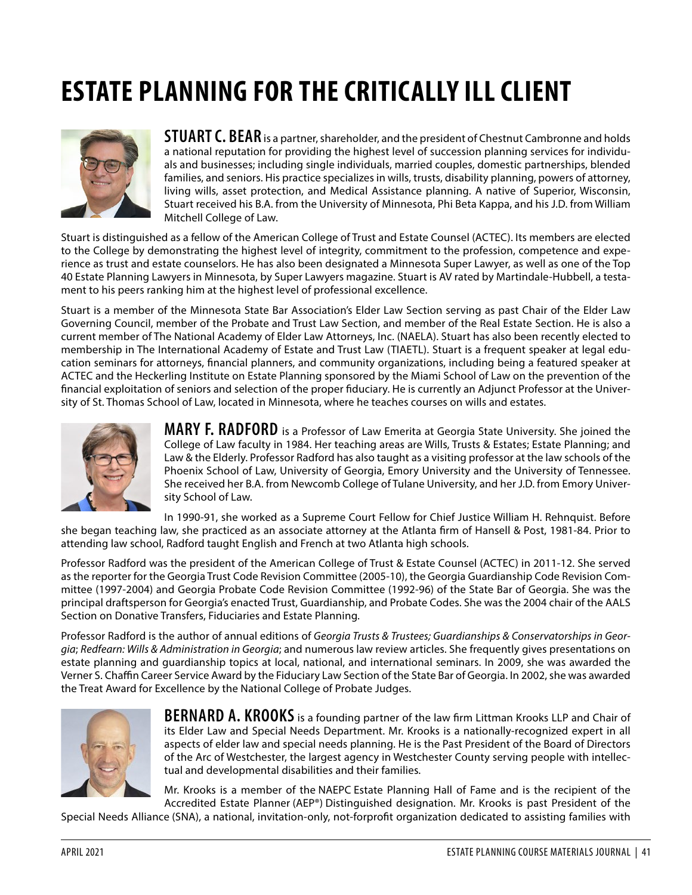# **ESTATE PLANNING FOR THE CRITICALLY ILL CLIENT**



**STUART C. BEAR** is a partner, shareholder, and the president of Chestnut Cambronne and holds a national reputation for providing the highest level of succession planning services for individuals and businesses; including single individuals, married couples, domestic partnerships, blended families, and seniors. His practice specializes in wills, trusts, disability planning, powers of attorney, living wills, asset protection, and Medical Assistance planning. A native of Superior, Wisconsin, Stuart received his B.A. from the University of Minnesota, Phi Beta Kappa, and his J.D. from William Mitchell College of Law.

Stuart is distinguished as a fellow of the American College of Trust and Estate Counsel (ACTEC). Its members are elected to the College by demonstrating the highest level of integrity, commitment to the profession, competence and experience as trust and estate counselors. He has also been designated a Minnesota Super Lawyer, as well as one of the Top 40 Estate Planning Lawyers in Minnesota, by Super Lawyers magazine. Stuart is AV rated by Martindale-Hubbell, a testament to his peers ranking him at the highest level of professional excellence.

Stuart is a member of the Minnesota State Bar Association's Elder Law Section serving as past Chair of the Elder Law Governing Council, member of the Probate and Trust Law Section, and member of the Real Estate Section. He is also a current member of The National Academy of Elder Law Attorneys, Inc. (NAELA). Stuart has also been recently elected to membership in The International Academy of Estate and Trust Law (TIAETL). Stuart is a frequent speaker at legal education seminars for attorneys, financial planners, and community organizations, including being a featured speaker at ACTEC and the Heckerling Institute on Estate Planning sponsored by the Miami School of Law on the prevention of the financial exploitation of seniors and selection of the proper fiduciary. He is currently an Adjunct Professor at the University of St. Thomas School of Law, located in Minnesota, where he teaches courses on wills and estates.



**MARY F. RADFORD** is a Professor of Law Emerita at Georgia State University. She joined the College of Law faculty in 1984. Her teaching areas are Wills, Trusts & Estates; Estate Planning; and Law & the Elderly. Professor Radford has also taught as a visiting professor at the law schools of the Phoenix School of Law, University of Georgia, Emory University and the University of Tennessee. She received her B.A. from Newcomb College of Tulane University, and her J.D. from Emory University School of Law.

In 1990-91, she worked as a Supreme Court Fellow for Chief Justice William H. Rehnquist. Before she began teaching law, she practiced as an associate attorney at the Atlanta firm of Hansell & Post, 1981-84. Prior to attending law school, Radford taught English and French at two Atlanta high schools.

Professor Radford was the president of the American College of Trust & Estate Counsel (ACTEC) in 2011-12. She served as the reporter for the Georgia Trust Code Revision Committee (2005-10), the Georgia Guardianship Code Revision Committee (1997-2004) and Georgia Probate Code Revision Committee (1992-96) of the State Bar of Georgia. She was the principal draftsperson for Georgia's enacted Trust, Guardianship, and Probate Codes. She was the 2004 chair of the AALS Section on Donative Transfers, Fiduciaries and Estate Planning.

Professor Radford is the author of annual editions of *Georgia Trusts & Trustees; Guardianships & Conservatorships in Georgia*; *Redfearn: Wills & Administration in Georgia*; and numerous law review articles. She frequently gives presentations on estate planning and guardianship topics at local, national, and international seminars. In 2009, she was awarded the Verner S. Chaffin Career Service Award by the Fiduciary Law Section of the State Bar of Georgia. In 2002, she was awarded the Treat Award for Excellence by the National College of Probate Judges.



**BERNARD A. KROOKS** is a founding partner of the law firm Littman Krooks LLP and Chair of its Elder Law and Special Needs Department. Mr. Krooks is a nationally-recognized expert in all aspects of elder law and special needs planning. He is the Past President of the Board of Directors of the Arc of Westchester, the largest agency in Westchester County serving people with intellectual and developmental disabilities and their families.

Mr. Krooks is a member of the NAEPC Estate Planning Hall of Fame and is the recipient of the Accredited Estate Planner (AEP®) Distinguished designation. Mr. Krooks is past President of the

Special Needs Alliance (SNA), a national, invitation-only, not-forprofit organization dedicated to assisting families with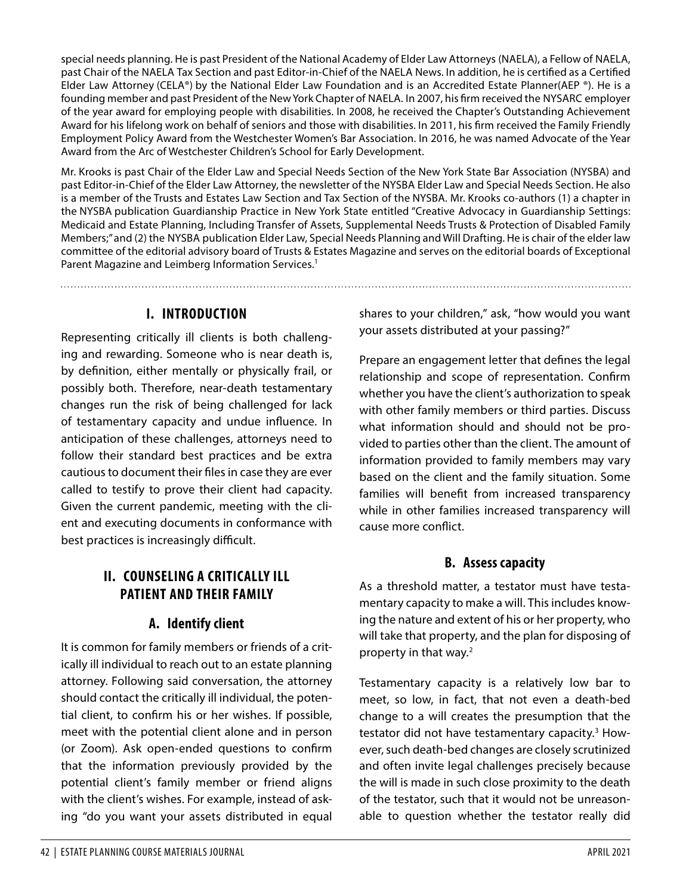special needs planning. He is past President of the National Academy of Elder Law Attorneys (NAELA), a Fellow of NAELA, past Chair of the NAELA Tax Section and past Editor-in-Chief of the NAELA News. In addition, he is certified as a Certified Elder Law Attorney (CELA®) by the National Elder Law Foundation and is an Accredited Estate Planner(AEP ®). He is a founding member and past President of the New York Chapter of NAELA. In 2007, his firm received the NYSARC employer of the year award for employing people with disabilities. In 2008, he received the Chapter's Outstanding Achievement Award for his lifelong work on behalf of seniors and those with disabilities. In 2011, his firm received the Family Friendly Employment Policy Award from the Westchester Women's Bar Association. In 2016, he was named Advocate of the Year Award from the Arc of Westchester Children's School for Early Development.

Mr. Krooks is past Chair of the Elder Law and Special Needs Section of the New York State Bar Association (NYSBA) and past Editor-in-Chief of the Elder Law Attorney, the newsletter of the NYSBA Elder Law and Special Needs Section. He also is a member of the Trusts and Estates Law Section and Tax Section of the NYSBA. Mr. Krooks co-authors (1) a chapter in the NYSBA publication Guardianship Practice in New York State entitled "Creative Advocacy in Guardianship Settings: Medicaid and Estate Planning, Including Transfer of Assets, Supplemental Needs Trusts & Protection of Disabled Family Members;" and (2) the NYSBA publication Elder Law, Special Needs Planning and Will Drafting. He is chair of the elder law committee of the editorial advisory board of Trusts & Estates Magazine and serves on the editorial boards of Exceptional Parent Magazine and Leimberg Information Services.<sup>1</sup>

## **I. INTRODUCTION**

Representing critically ill clients is both challenging and rewarding. Someone who is near death is, by definition, either mentally or physically frail, or possibly both. Therefore, near-death testamentary changes run the risk of being challenged for lack of testamentary capacity and undue influence. In anticipation of these challenges, attorneys need to follow their standard best practices and be extra cautious to document their files in case they are ever called to testify to prove their client had capacity. Given the current pandemic, meeting with the client and executing documents in conformance with best practices is increasingly difficult.

# **II. COUNSELING A CRITICALLY ILL PATIENT AND THEIR FAMILY**

# **A. Identify client**

It is common for family members or friends of a critically ill individual to reach out to an estate planning attorney. Following said conversation, the attorney should contact the critically ill individual, the potential client, to confirm his or her wishes. If possible, meet with the potential client alone and in person (or Zoom). Ask open-ended questions to confirm that the information previously provided by the potential client's family member or friend aligns with the client's wishes. For example, instead of asking "do you want your assets distributed in equal shares to your children," ask, "how would you want your assets distributed at your passing?"

Prepare an engagement letter that defines the legal relationship and scope of representation. Confirm whether you have the client's authorization to speak with other family members or third parties. Discuss what information should and should not be provided to parties other than the client. The amount of information provided to family members may vary based on the client and the family situation. Some families will benefit from increased transparency while in other families increased transparency will cause more conflict.

# **B. Assess capacity**

As a threshold matter, a testator must have testamentary capacity to make a will. This includes knowing the nature and extent of his or her property, who will take that property, and the plan for disposing of property in that way.<sup>[2](#page-9-1)</sup>

Testamentary capacity is a relatively low bar to meet, so low, in fact, that not even a death-bed change to a will creates the presumption that the testator did not have testamentary capacity.<sup>[3](#page-9-2)</sup> However, such death-bed changes are closely scrutinized and often invite legal challenges precisely because the will is made in such close proximity to the death of the testator, such that it would not be unreasonable to question whether the testator really did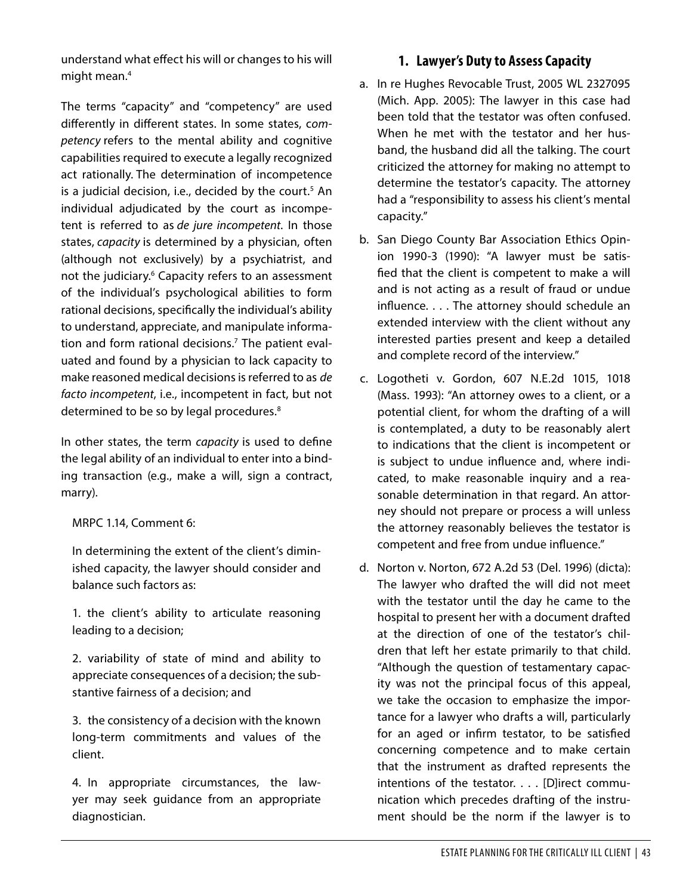understand what effect his will or changes to his will might mean.<sup>4</sup>

The terms "capacity" and "competency" are used differently in different states. In some states, c*ompetency* refers to the mental ability and cognitive capabilities required to execute a legally recognized act rationally. The determination of incompetence is a judicial decision, i.e., decided by the court.<sup>[5](#page-9-4)</sup> An individual adjudicated by the court as incompetent is referred to as *de jure incompetent*. In those states, *capacity* is determined by a physician, often (although not exclusively) by a psychiatrist, and not the judiciary.<sup>[6](#page-9-5)</sup> Capacity refers to an assessment of the individual's psychological abilities to form rational decisions, specifically the individual's ability to understand, appreciate, and manipulate information and form rational decisions[.7](#page-9-6) The patient evaluated and found by a physician to lack capacity to make reasoned medical decisions is referred to as *de facto incompetent*, i.e., incompetent in fact, but not determined to be so by legal procedures.<sup>8</sup>

In other states, the term *capacity* is used to define the legal ability of an individual to enter into a binding transaction (e.g., make a will, sign a contract, marry).

#### MRPC 1.14, Comment 6:

In determining the extent of the client's diminished capacity, the lawyer should consider and balance such factors as:

1. the client's ability to articulate reasoning leading to a decision;

2. variability of state of mind and ability to appreciate consequences of a decision; the substantive fairness of a decision; and

3. the consistency of a decision with the known long-term commitments and values of the client.

4. In appropriate circumstances, the lawyer may seek guidance from an appropriate diagnostician.

### **1. Lawyer's Duty to Assess Capacity**

- a. In re Hughes Revocable Trust, 2005 WL 2327095 (Mich. App. 2005): The lawyer in this case had been told that the testator was often confused. When he met with the testator and her husband, the husband did all the talking. The court criticized the attorney for making no attempt to determine the testator's capacity. The attorney had a "responsibility to assess his client's mental capacity."
- b. San Diego County Bar Association Ethics Opinion 1990-3 (1990): "A lawyer must be satisfied that the client is competent to make a will and is not acting as a result of fraud or undue influence. . . . The attorney should schedule an extended interview with the client without any interested parties present and keep a detailed and complete record of the interview."
- c. Logotheti v. Gordon, 607 N.E.2d 1015, 1018 (Mass. 1993): "An attorney owes to a client, or a potential client, for whom the drafting of a will is contemplated, a duty to be reasonably alert to indications that the client is incompetent or is subject to undue influence and, where indicated, to make reasonable inquiry and a reasonable determination in that regard. An attorney should not prepare or process a will unless the attorney reasonably believes the testator is competent and free from undue influence."
- d. Norton v. Norton, 672 A.2d 53 (Del. 1996) (dicta): The lawyer who drafted the will did not meet with the testator until the day he came to the hospital to present her with a document drafted at the direction of one of the testator's children that left her estate primarily to that child. "Although the question of testamentary capacity was not the principal focus of this appeal, we take the occasion to emphasize the importance for a lawyer who drafts a will, particularly for an aged or infirm testator, to be satisfied concerning competence and to make certain that the instrument as drafted represents the intentions of the testator. . . . [D]irect communication which precedes drafting of the instrument should be the norm if the lawyer is to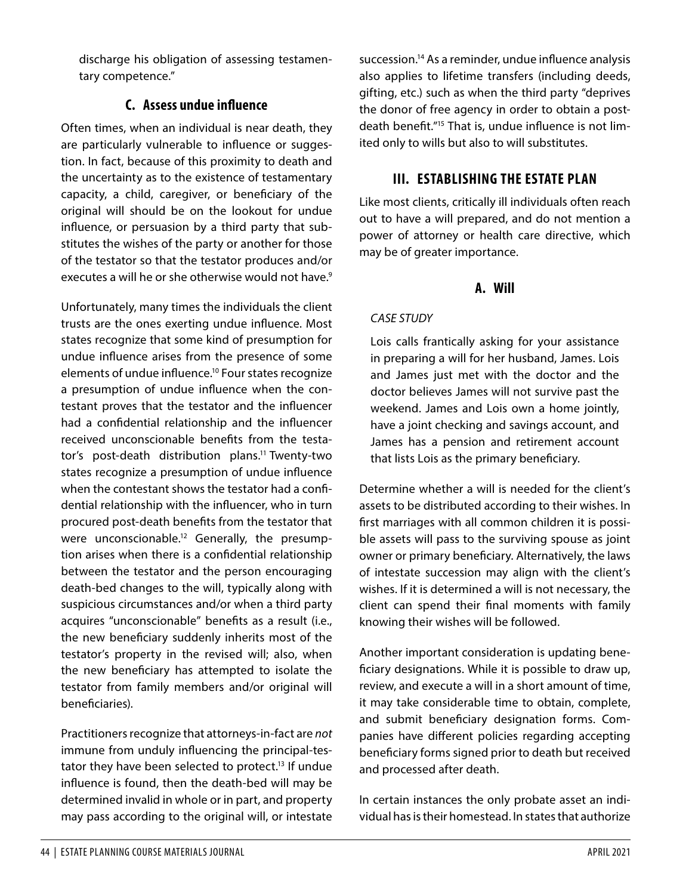discharge his obligation of assessing testamentary competence."

## **C. Assess undue influence**

Often times, when an individual is near death, they are particularly vulnerable to influence or suggestion. In fact, because of this proximity to death and the uncertainty as to the existence of testamentary capacity, a child, caregiver, or beneficiary of the original will should be on the lookout for undue influence, or persuasion by a third party that substitutes the wishes of the party or another for those of the testator so that the testator produces and/or executes a will he or she otherwise would not have.<sup>[9](#page-9-8)</sup>

Unfortunately, many times the individuals the client trusts are the ones exerting undue influence. Most states recognize that some kind of presumption for undue influence arises from the presence of some elements of undue influence[.10](#page-10-0) Four states recognize a presumption of undue influence when the contestant proves that the testator and the influencer had a confidential relationship and the influencer received unconscionable benefits from the testator's post-death distribution plans.<sup>11</sup> Twenty-two states recognize a presumption of undue influence when the contestant shows the testator had a confidential relationship with the influencer, who in turn procured post-death benefits from the testator that were unconscionable.<sup>12</sup> Generally, the presumption arises when there is a confidential relationship between the testator and the person encouraging death-bed changes to the will, typically along with suspicious circumstances and/or when a third party acquires "unconscionable" benefits as a result (i.e., the new beneficiary suddenly inherits most of the testator's property in the revised will; also, when the new beneficiary has attempted to isolate the testator from family members and/or original will beneficiaries).

Practitioners recognize that attorneys-in-fact are *not*  immune from unduly influencing the principal-testator they have been selected to protect.<sup>13</sup> If undue influence is found, then the death-bed will may be determined invalid in whole or in part, and property may pass according to the original will, or intestate

succession.<sup>14</sup> As a reminder, undue influence analysis also applies to lifetime transfers (including deeds, gifting, etc.) such as when the third party "deprives the donor of free agency in order to obtain a postdeath benefit."<sup>15</sup> That is, undue influence is not limited only to wills but also to will substitutes.

# **III. ESTABLISHING THE ESTATE PLAN**

Like most clients, critically ill individuals often reach out to have a will prepared, and do not mention a power of attorney or health care directive, which may be of greater importance.

### **A. Will**

#### *CASE STUDY*

Lois calls frantically asking for your assistance in preparing a will for her husband, James. Lois and James just met with the doctor and the doctor believes James will not survive past the weekend. James and Lois own a home jointly, have a joint checking and savings account, and James has a pension and retirement account that lists Lois as the primary beneficiary.

Determine whether a will is needed for the client's assets to be distributed according to their wishes. In first marriages with all common children it is possible assets will pass to the surviving spouse as joint owner or primary beneficiary. Alternatively, the laws of intestate succession may align with the client's wishes. If it is determined a will is not necessary, the client can spend their final moments with family knowing their wishes will be followed.

Another important consideration is updating beneficiary designations. While it is possible to draw up, review, and execute a will in a short amount of time, it may take considerable time to obtain, complete, and submit beneficiary designation forms. Companies have different policies regarding accepting beneficiary forms signed prior to death but received and processed after death.

In certain instances the only probate asset an individual has is their homestead. In states that authorize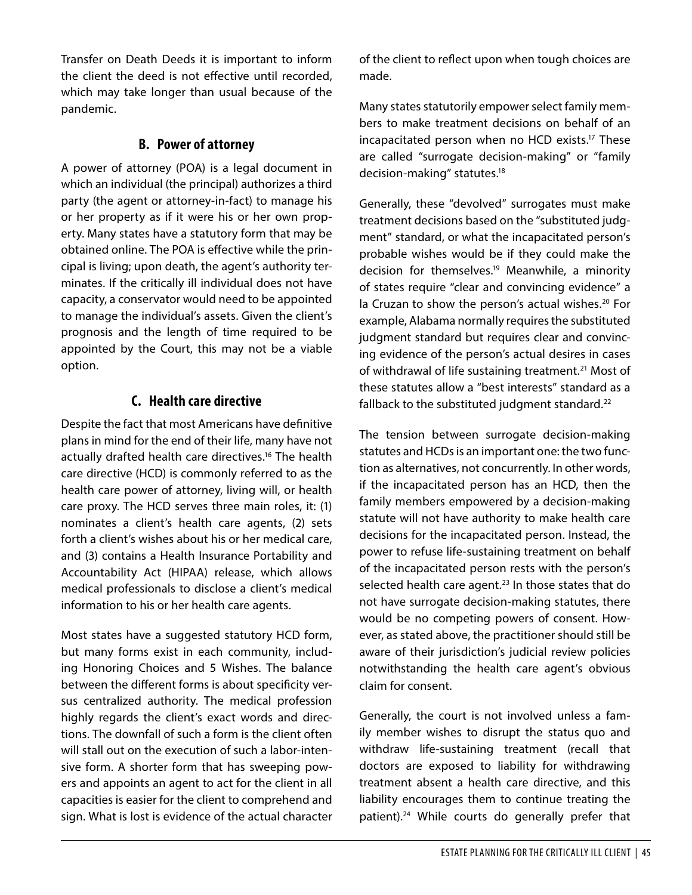Transfer on Death Deeds it is important to inform the client the deed is not effective until recorded, which may take longer than usual because of the pandemic.

#### **B. Power of attorney**

A power of attorney (POA) is a legal document in which an individual (the principal) authorizes a third party (the agent or attorney-in-fact) to manage his or her property as if it were his or her own property. Many states have a statutory form that may be obtained online. The POA is effective while the principal is living; upon death, the agent's authority terminates. If the critically ill individual does not have capacity, a conservator would need to be appointed to manage the individual's assets. Given the client's prognosis and the length of time required to be appointed by the Court, this may not be a viable option.

## **C. Health care directive**

Despite the fact that most Americans have definitive plans in mind for the end of their life, many have not actually drafted health care directives.<sup>16</sup> The health care directive (HCD) is commonly referred to as the health care power of attorney, living will, or health care proxy. The HCD serves three main roles, it: (1) nominates a client's health care agents, (2) sets forth a client's wishes about his or her medical care, and (3) contains a Health Insurance Portability and Accountability Act (HIPAA) release, which allows medical professionals to disclose a client's medical information to his or her health care agents.

Most states have a suggested statutory HCD form, but many forms exist in each community, including Honoring Choices and 5 Wishes. The balance between the different forms is about specificity versus centralized authority. The medical profession highly regards the client's exact words and directions. The downfall of such a form is the client often will stall out on the execution of such a labor-intensive form. A shorter form that has sweeping powers and appoints an agent to act for the client in all capacities is easier for the client to comprehend and sign. What is lost is evidence of the actual character of the client to reflect upon when tough choices are made.

Many states statutorily empower select family members to make treatment decisions on behalf of an incapacitated person when no HCD exists[.17](#page-10-7) These are called "surrogate decision-making" or "family decision-making" statutes.<sup>18</sup>

Generally, these "devolved" surrogates must make treatment decisions based on the "substituted judgment" standard, or what the incapacitated person's probable wishes would be if they could make the decision for themselves.<sup>19</sup> Meanwhile, a minority of states require "clear and convincing evidence" a la Cruzan to show the person's actual wishes.<sup>20</sup> For example, Alabama normally requires the substituted judgment standard but requires clear and convincing evidence of the person's actual desires in cases of withdrawal of life sustaining treatment.<sup>[21](#page-10-11)</sup> Most of these statutes allow a "best interests" standard as a fallback to the substituted judgment standard.<sup>22</sup>

The tension between surrogate decision-making statutes and HCDs is an important one: the two function as alternatives, not concurrently. In other words, if the incapacitated person has an HCD, then the family members empowered by a decision-making statute will not have authority to make health care decisions for the incapacitated person. Instead, the power to refuse life-sustaining treatment on behalf of the incapacitated person rests with the person's selected health care agent. $23$  In those states that do not have surrogate decision-making statutes, there would be no competing powers of consent. However, as stated above, the practitioner should still be aware of their jurisdiction's judicial review policies notwithstanding the health care agent's obvious claim for consent.

Generally, the court is not involved unless a family member wishes to disrupt the status quo and withdraw life-sustaining treatment (recall that doctors are exposed to liability for withdrawing treatment absent a health care directive, and this liability encourages them to continue treating the patient).<sup>[24](#page-10-14)</sup> While courts do generally prefer that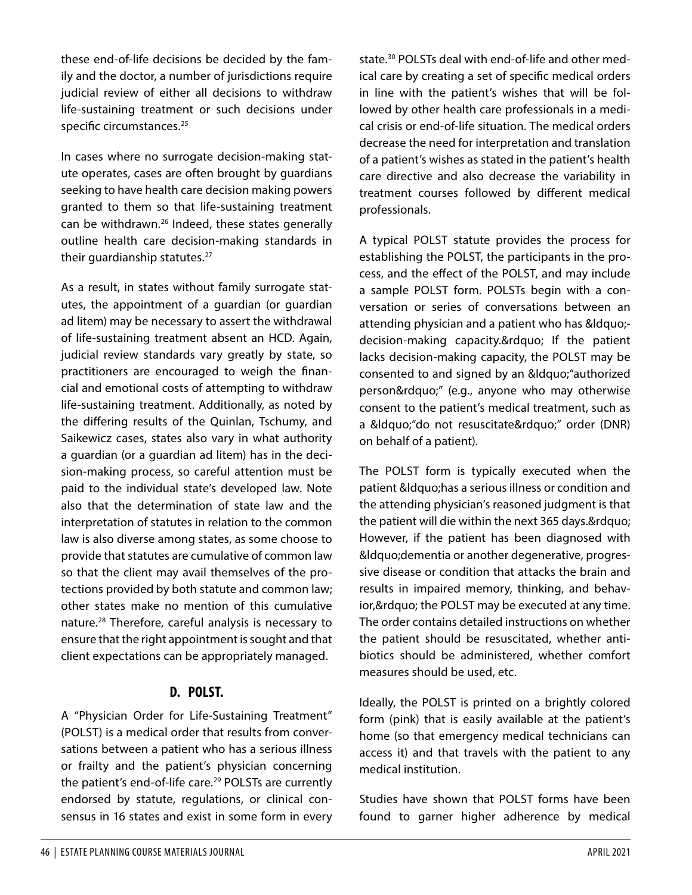these end-of-life decisions be decided by the family and the doctor, a number of jurisdictions require judicial review of either all decisions to withdraw life-sustaining treatment or such decisions under specific circumstances.<sup>[25](#page-10-15)</sup>

In cases where no surrogate decision-making statute operates, cases are often brought by guardians seeking to have health care decision making powers granted to them so that life-sustaining treatment can be withdrawn.<sup>26</sup> Indeed, these states generally outline health care decision-making standards in their guardianship statutes.<sup>27</sup>

As a result, in states without family surrogate statutes, the appointment of a guardian (or guardian ad litem) may be necessary to assert the withdrawal of life-sustaining treatment absent an HCD. Again, judicial review standards vary greatly by state, so practitioners are encouraged to weigh the financial and emotional costs of attempting to withdraw life-sustaining treatment. Additionally, as noted by the differing results of the Quinlan, Tschumy, and Saikewicz cases, states also vary in what authority a guardian (or a guardian ad litem) has in the decision-making process, so careful attention must be paid to the individual state's developed law. Note also that the determination of state law and the interpretation of statutes in relation to the common law is also diverse among states, as some choose to provide that statutes are cumulative of common law so that the client may avail themselves of the protections provided by both statute and common law; other states make no mention of this cumulative nature.[28](#page-10-18) Therefore, careful analysis is necessary to ensure that the right appointment is sought and that client expectations can be appropriately managed.

### **D. POLST.**

A "Physician Order for Life-Sustaining Treatment" (POLST) is a medical order that results from conversations between a patient who has a serious illness or frailty and the patient's physician concerning the patient's end-of-life care.<sup>29</sup> POLSTs are currently endorsed by statute, regulations, or clinical consensus in 16 states and exist in some form in every state.[30](#page-10-20) POLSTs deal with end-of-life and other medical care by creating a set of specific medical orders in line with the patient's wishes that will be followed by other health care professionals in a medical crisis or end-of-life situation. The medical orders decrease the need for interpretation and translation of a patient's wishes as stated in the patient's health care directive and also decrease the variability in treatment courses followed by different medical professionals.

A typical POLST statute provides the process for establishing the POLST, the participants in the process, and the effect of the POLST, and may include a sample POLST form. POLSTs begin with a conversation or series of conversations between an attending physician and a patient who has "decision-making capacity." If the patient lacks decision-making capacity, the POLST may be consented to and signed by an ""authorized person"" (e.g., anyone who may otherwise consent to the patient's medical treatment, such as a " do not resuscitate"" order (DNR) on behalf of a patient).

The POLST form is typically executed when the patient & Idquo; has a serious illness or condition and the attending physician's reasoned judgment is that the patient will die within the next 365 days." However, if the patient has been diagnosed with &Idquo; dementia or another degenerative, progressive disease or condition that attacks the brain and results in impaired memory, thinking, and behavior, & rdquo; the POLST may be executed at any time. The order contains detailed instructions on whether the patient should be resuscitated, whether antibiotics should be administered, whether comfort measures should be used, etc.

Ideally, the POLST is printed on a brightly colored form (pink) that is easily available at the patient's home (so that emergency medical technicians can access it) and that travels with the patient to any medical institution.

Studies have shown that POLST forms have been found to garner higher adherence by medical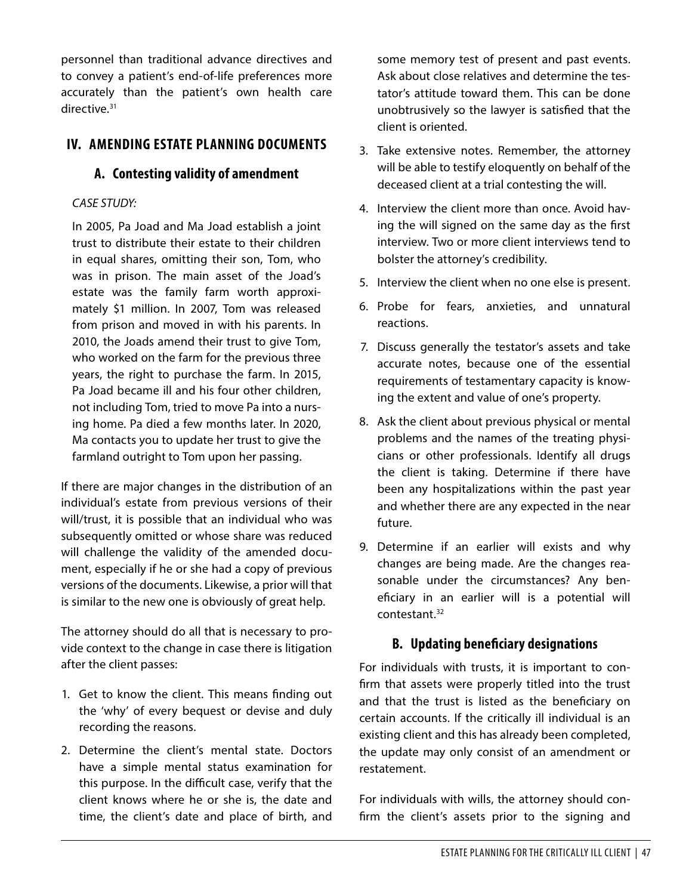personnel than traditional advance directives and to convey a patient's end-of-life preferences more accurately than the patient's own health care directive.<sup>[31](#page-10-21)</sup>

### **IV. AMENDING ESTATE PLANNING DOCUMENTS**

#### **A. Contesting validity of amendment**

#### *CASE STUDY:*

In 2005, Pa Joad and Ma Joad establish a joint trust to distribute their estate to their children in equal shares, omitting their son, Tom, who was in prison. The main asset of the Joad's estate was the family farm worth approximately \$1 million. In 2007, Tom was released from prison and moved in with his parents. In 2010, the Joads amend their trust to give Tom, who worked on the farm for the previous three years, the right to purchase the farm. In 2015, Pa Joad became ill and his four other children, not including Tom, tried to move Pa into a nursing home. Pa died a few months later. In 2020, Ma contacts you to update her trust to give the farmland outright to Tom upon her passing.

If there are major changes in the distribution of an individual's estate from previous versions of their will/trust, it is possible that an individual who was subsequently omitted or whose share was reduced will challenge the validity of the amended document, especially if he or she had a copy of previous versions of the documents. Likewise, a prior will that is similar to the new one is obviously of great help.

The attorney should do all that is necessary to provide context to the change in case there is litigation after the client passes:

- 1. Get to know the client. This means finding out the 'why' of every bequest or devise and duly recording the reasons.
- 2. Determine the client's mental state. Doctors have a simple mental status examination for this purpose. In the difficult case, verify that the client knows where he or she is, the date and time, the client's date and place of birth, and

some memory test of present and past events. Ask about close relatives and determine the testator's attitude toward them. This can be done unobtrusively so the lawyer is satisfied that the client is oriented.

- 3. Take extensive notes. Remember, the attorney will be able to testify eloquently on behalf of the deceased client at a trial contesting the will.
- 4. Interview the client more than once. Avoid having the will signed on the same day as the first interview. Two or more client interviews tend to bolster the attorney's credibility.
- 5. Interview the client when no one else is present.
- 6. Probe for fears, anxieties, and unnatural reactions.
- 7. Discuss generally the testator's assets and take accurate notes, because one of the essential requirements of testamentary capacity is knowing the extent and value of one's property.
- 8. Ask the client about previous physical or mental problems and the names of the treating physicians or other professionals. Identify all drugs the client is taking. Determine if there have been any hospitalizations within the past year and whether there are any expected in the near future.
- 9. Determine if an earlier will exists and why changes are being made. Are the changes reasonable under the circumstances? Any beneficiary in an earlier will is a potential will contestant[.32](#page-10-22)

### **B. Updating beneficiary designations**

For individuals with trusts, it is important to confirm that assets were properly titled into the trust and that the trust is listed as the beneficiary on certain accounts. If the critically ill individual is an existing client and this has already been completed, the update may only consist of an amendment or restatement.

For individuals with wills, the attorney should confirm the client's assets prior to the signing and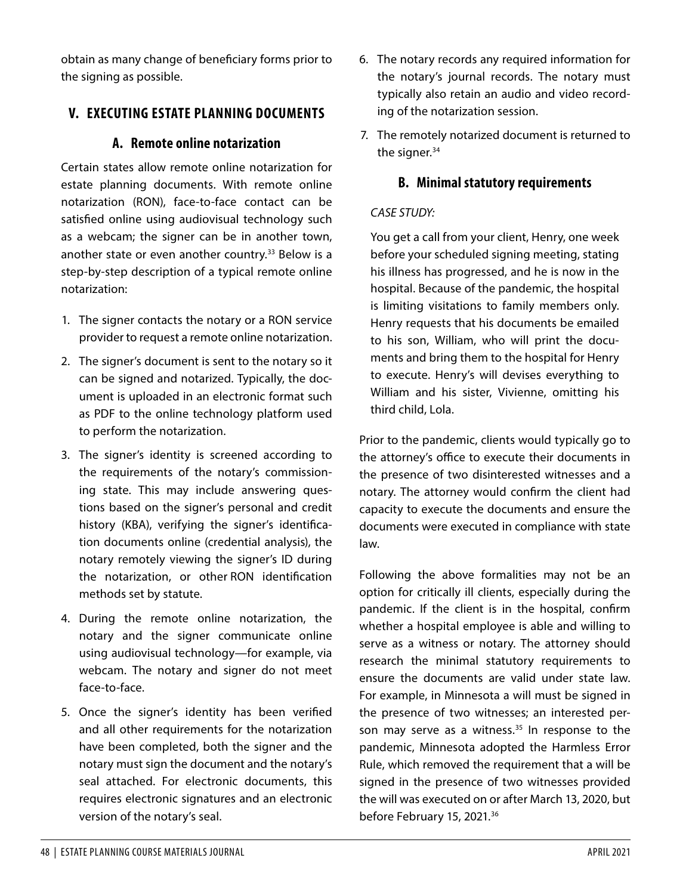obtain as many change of beneficiary forms prior to the signing as possible.

# **V. EXECUTING ESTATE PLANNING DOCUMENTS**

## **A. Remote online notarization**

Certain states allow remote online notarization for estate planning documents. With remote online notarization (RON), face-to-face contact can be satisfied online using audiovisual technology such as a webcam; the signer can be in another town, another state or even another country.<sup>33</sup> Below is a step-by-step description of a typical remote online notarization:

- 1. The signer contacts the notary or a RON service provider to request a remote online notarization.
- 2. The signer's document is sent to the notary so it can be signed and notarized. Typically, the document is uploaded in an electronic format such as PDF to the online technology platform used to perform the notarization.
- 3. The signer's identity is screened according to the requirements of the notary's commissioning state. This may include answering questions based on the signer's personal and credit history (KBA), verifying the signer's identification documents online (credential analysis), the notary remotely viewing the signer's ID during the notarization, or other RON identification methods set by statute.
- 4. During the remote online notarization, the notary and the signer communicate online using audiovisual technology—for example, via webcam. The notary and signer do not meet face-to-face.
- 5. Once the signer's identity has been verified and all other requirements for the notarization have been completed, both the signer and the notary must sign the document and the notary's seal attached. For electronic documents, this requires electronic signatures and an electronic version of the notary's seal.
- 6. The notary records any required information for the notary's journal records. The notary must typically also retain an audio and video recording of the notarization session.
- 7. The remotely notarized document is returned to the signer. $34$

## **B. Minimal statutory requirements**

### *CASE STUDY:*

You get a call from your client, Henry, one week before your scheduled signing meeting, stating his illness has progressed, and he is now in the hospital. Because of the pandemic, the hospital is limiting visitations to family members only. Henry requests that his documents be emailed to his son, William, who will print the documents and bring them to the hospital for Henry to execute. Henry's will devises everything to William and his sister, Vivienne, omitting his third child, Lola.

Prior to the pandemic, clients would typically go to the attorney's office to execute their documents in the presence of two disinterested witnesses and a notary. The attorney would confirm the client had capacity to execute the documents and ensure the documents were executed in compliance with state law.

Following the above formalities may not be an option for critically ill clients, especially during the pandemic. If the client is in the hospital, confirm whether a hospital employee is able and willing to serve as a witness or notary. The attorney should research the minimal statutory requirements to ensure the documents are valid under state law. For example, in Minnesota a will must be signed in the presence of two witnesses; an interested person may serve as a witness. $35$  In response to the pandemic, Minnesota adopted the Harmless Error Rule, which removed the requirement that a will be signed in the presence of two witnesses provided the will was executed on or after March 13, 2020, but before February 15, 2021.<sup>[36](#page-10-26)</sup>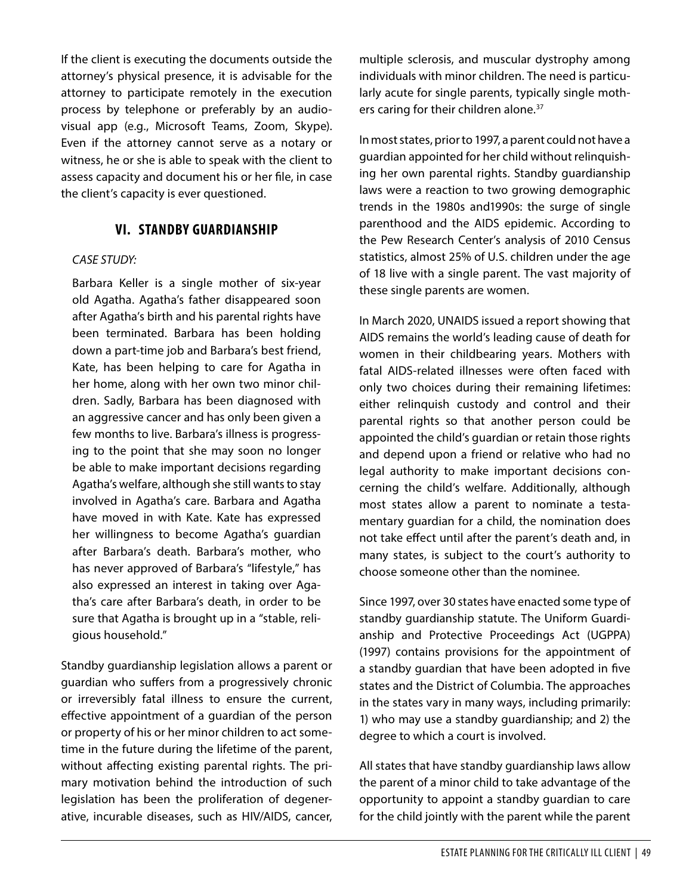If the client is executing the documents outside the attorney's physical presence, it is advisable for the attorney to participate remotely in the execution process by telephone or preferably by an audiovisual app (e.g., Microsoft Teams, Zoom, Skype). Even if the attorney cannot serve as a notary or witness, he or she is able to speak with the client to assess capacity and document his or her file, in case the client's capacity is ever questioned.

#### **VI. STANDBY GUARDIANSHIP**

#### *CASE STUDY:*

Barbara Keller is a single mother of six-year old Agatha. Agatha's father disappeared soon after Agatha's birth and his parental rights have been terminated. Barbara has been holding down a part-time job and Barbara's best friend, Kate, has been helping to care for Agatha in her home, along with her own two minor children. Sadly, Barbara has been diagnosed with an aggressive cancer and has only been given a few months to live. Barbara's illness is progressing to the point that she may soon no longer be able to make important decisions regarding Agatha's welfare, although she still wants to stay involved in Agatha's care. Barbara and Agatha have moved in with Kate. Kate has expressed her willingness to become Agatha's guardian after Barbara's death. Barbara's mother, who has never approved of Barbara's "lifestyle," has also expressed an interest in taking over Agatha's care after Barbara's death, in order to be sure that Agatha is brought up in a "stable, religious household."

Standby guardianship legislation allows a parent or guardian who suffers from a progressively chronic or irreversibly fatal illness to ensure the current, effective appointment of a guardian of the person or property of his or her minor children to act sometime in the future during the lifetime of the parent, without affecting existing parental rights. The primary motivation behind the introduction of such legislation has been the proliferation of degenerative, incurable diseases, such as HIV/AIDS, cancer, multiple sclerosis, and muscular dystrophy among individuals with minor children. The need is particularly acute for single parents, typically single moth-ers caring for their children alone.<sup>[37](#page-10-27)</sup>

In most states, prior to 1997, a parent could not have a guardian appointed for her child without relinquishing her own parental rights. Standby guardianship laws were a reaction to two growing demographic trends in the 1980s and1990s: the surge of single parenthood and the AIDS epidemic. According to the Pew Research Center's analysis of 2010 Census statistics, almost 25% of U.S. children under the age of 18 live with a single parent. The vast majority of these single parents are women.

In March 2020, UNAIDS issued a report showing that AIDS remains the world's leading cause of death for women in their childbearing years. Mothers with fatal AIDS-related illnesses were often faced with only two choices during their remaining lifetimes: either relinquish custody and control and their parental rights so that another person could be appointed the child's guardian or retain those rights and depend upon a friend or relative who had no legal authority to make important decisions concerning the child's welfare. Additionally, although most states allow a parent to nominate a testamentary guardian for a child, the nomination does not take effect until after the parent's death and, in many states, is subject to the court's authority to choose someone other than the nominee.

Since 1997, over 30 states have enacted some type of standby guardianship statute. The Uniform Guardianship and Protective Proceedings Act (UGPPA) (1997) contains provisions for the appointment of a standby guardian that have been adopted in five states and the District of Columbia. The approaches in the states vary in many ways, including primarily: 1) who may use a standby guardianship; and 2) the degree to which a court is involved.

All states that have standby guardianship laws allow the parent of a minor child to take advantage of the opportunity to appoint a standby guardian to care for the child jointly with the parent while the parent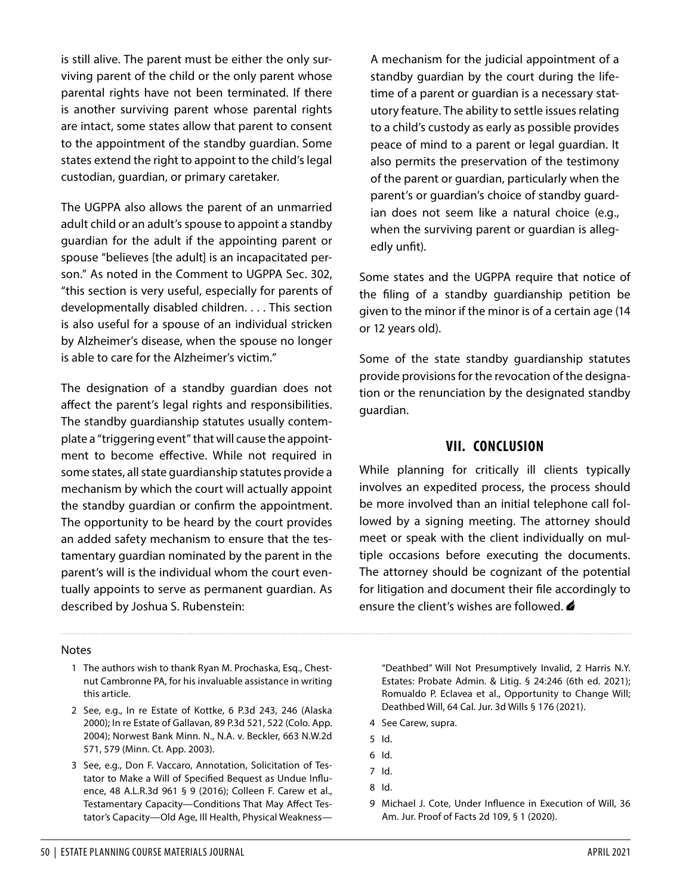is still alive. The parent must be either the only surviving parent of the child or the only parent whose parental rights have not been terminated. If there is another surviving parent whose parental rights are intact, some states allow that parent to consent to the appointment of the standby guardian. Some states extend the right to appoint to the child's legal custodian, guardian, or primary caretaker.

The UGPPA also allows the parent of an unmarried adult child or an adult's spouse to appoint a standby guardian for the adult if the appointing parent or spouse "believes [the adult] is an incapacitated person." As noted in the Comment to UGPPA Sec. 302, "this section is very useful, especially for parents of developmentally disabled children. . . . This section is also useful for a spouse of an individual stricken by Alzheimer's disease, when the spouse no longer is able to care for the Alzheimer's victim."

The designation of a standby guardian does not affect the parent's legal rights and responsibilities. The standby guardianship statutes usually contemplate a "triggering event" that will cause the appointment to become effective. While not required in some states, all state guardianship statutes provide a mechanism by which the court will actually appoint the standby guardian or confirm the appointment. The opportunity to be heard by the court provides an added safety mechanism to ensure that the testamentary guardian nominated by the parent in the parent's will is the individual whom the court eventually appoints to serve as permanent guardian. As described by Joshua S. Rubenstein:

A mechanism for the judicial appointment of a standby guardian by the court during the lifetime of a parent or guardian is a necessary statutory feature. The ability to settle issues relating to a child's custody as early as possible provides peace of mind to a parent or legal guardian. It also permits the preservation of the testimony of the parent or guardian, particularly when the parent's or guardian's choice of standby guardian does not seem like a natural choice (e.g., when the surviving parent or guardian is allegedly unfit).

Some states and the UGPPA require that notice of the filing of a standby guardianship petition be given to the minor if the minor is of a certain age (14 or 12 years old).

Some of the state standby guardianship statutes provide provisions for the revocation of the designation or the renunciation by the designated standby guardian.

#### **VII. CONCLUSION**

While planning for critically ill clients typically involves an expedited process, the process should be more involved than an initial telephone call followed by a signing meeting. The attorney should meet or speak with the client individually on multiple occasions before executing the documents. The attorney should be cognizant of the potential for litigation and document their file accordingly to ensure the client's wishes are followed.  $\triangle$ 

#### Notes

- <span id="page-9-0"></span>1 The authors wish to thank Ryan M. Prochaska, Esq., Chestnut Cambronne PA, for his invaluable assistance in writing this article.
- <span id="page-9-1"></span>2 See, e.g., In re Estate of Kottke, 6 P.3d 243, 246 (Alaska 2000); In re Estate of Gallavan, 89 P.3d 521, 522 (Colo. App. 2004); Norwest Bank Minn. N., N.A. v. Beckler, 663 N.W.2d 571, 579 (Minn. Ct. App. 2003).
- <span id="page-9-2"></span>3 See, e.g., Don F. Vaccaro, Annotation, Solicitation of Testator to Make a Will of Specified Bequest as Undue Influence, 48 A.L.R.3d 961 § 9 (2016); Colleen F. Carew et al., Testamentary Capacity—Conditions That May Affect Testator's Capacity—Old Age, Ill Health, Physical Weakness—

"Deathbed" Will Not Presumptively Invalid, 2 Harris N.Y. Estates: Probate Admin. & Litig. § 24:246 (6th ed. 2021); Romualdo P. Eclavea et al., Opportunity to Change Will; Deathbed Will, 64 Cal. Jur. 3d Wills § 176 (2021).

- <span id="page-9-3"></span>4 See Carew, supra.
- <span id="page-9-4"></span>5 Id.
- <span id="page-9-5"></span>6 Id.
- <span id="page-9-6"></span>7 Id.
- <span id="page-9-7"></span>8 Id.
- <span id="page-9-8"></span>9 Michael J. Cote, Under Influence in Execution of Will, 36 Am. Jur. Proof of Facts 2d 109, § 1 (2020).